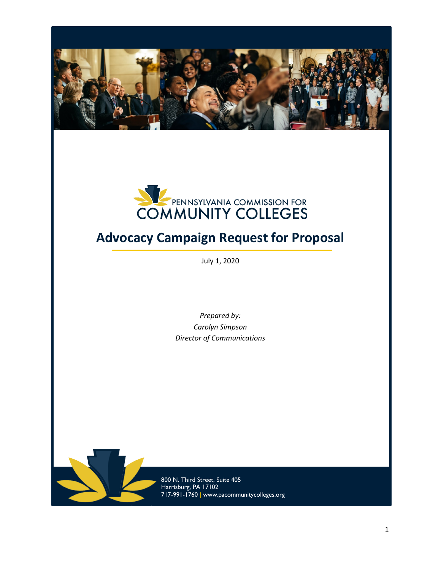



# **Advocacy Campaign Request for Proposal**

July 1, 2020

*Prepared by: Carolyn Simpson Director of Communications*



800 N. Third Street, Suite 405 Harrisburg, PA 17102 717-991-1760 | www.pacommunitycolleges.org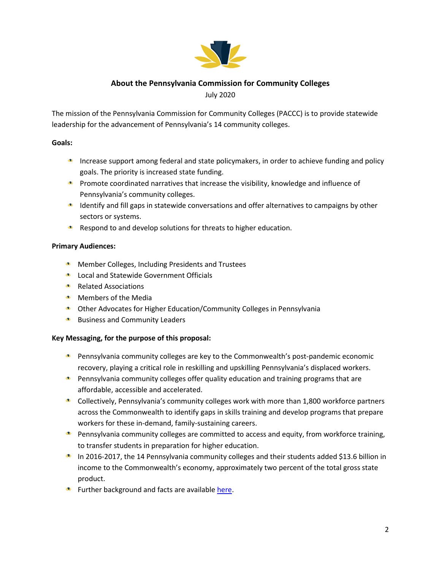

# **About the Pennsylvania Commission for Community Colleges** July 2020

The mission of the Pennsylvania Commission for Community Colleges (PACCC) is to provide statewide leadership for the advancement of Pennsylvania's 14 community colleges.

## **Goals:**

- Increase support among federal and state policymakers, in order to achieve funding and policy goals. The priority is increased state funding.
- **Promote coordinated narratives that increase the visibility, knowledge and influence of** Pennsylvania's community colleges.
- **IDENTIFY And fill gaps in statewide conversations and offer alternatives to campaigns by other** sectors or systems.
- Respond to and develop solutions for threats to higher education.

## **Primary Audiences:**

- **Member Colleges, Including Presidents and Trustees**
- **Local and Statewide Government Officials**
- **Related Associations**
- **Members of the Media**
- Other Advocates for Higher Education/Community Colleges in Pennsylvania
- **Business and Community Leaders**

## **Key Messaging, for the purpose of this proposal:**

- Pennsylvania community colleges are key to the Commonwealth's post-pandemic economic recovery, playing a critical role in reskilling and upskilling Pennsylvania's displaced workers.
- **Pennsylvania community colleges offer quality education and training programs that are** affordable, accessible and accelerated.
- Collectively, Pennsylvania's community colleges work with more than 1,800 workforce partners across the Commonwealth to identify gaps in skills training and develop programs that prepare workers for these in-demand, family-sustaining careers.
- **Pennsylvania community colleges are committed to access and equity, from workforce training,** to transfer students in preparation for higher education.
- In 2016-2017, the 14 Pennsylvania community colleges and their students added \$13.6 billion in income to the Commonwealth's economy, approximately two percent of the total gross state product.
- **\*** Further background and facts are available [here.](https://bit.ly/PACOVIDEd)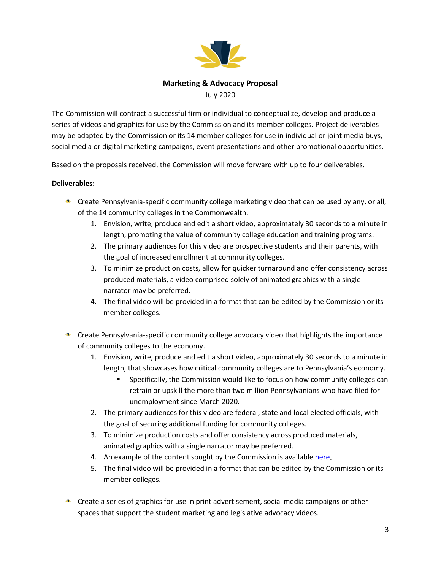

# **Marketing & Advocacy Proposal**

July 2020

The Commission will contract a successful firm or individual to conceptualize, develop and produce a series of videos and graphics for use by the Commission and its member colleges. Project deliverables may be adapted by the Commission or its 14 member colleges for use in individual or joint media buys, social media or digital marketing campaigns, event presentations and other promotional opportunities.

Based on the proposals received, the Commission will move forward with up to four deliverables.

## **Deliverables:**

- **Create Pennsylvania-specific community college marketing video that can be used by any, or all,** of the 14 community colleges in the Commonwealth.
	- 1. Envision, write, produce and edit a short video, approximately 30 seconds to a minute in length, promoting the value of community college education and training programs.
	- 2. The primary audiences for this video are prospective students and their parents, with the goal of increased enrollment at community colleges.
	- 3. To minimize production costs, allow for quicker turnaround and offer consistency across produced materials, a video comprised solely of animated graphics with a single narrator may be preferred.
	- 4. The final video will be provided in a format that can be edited by the Commission or its member colleges.
- **Create Pennsylvania-specific community college advocacy video that highlights the importance** of community colleges to the economy.
	- 1. Envision, write, produce and edit a short video, approximately 30 seconds to a minute in length, that showcases how critical community colleges are to Pennsylvania's economy.
		- Specifically, the Commission would like to focus on how community colleges can retrain or upskill the more than two million Pennsylvanians who have filed for unemployment since March 2020.
	- 2. The primary audiences for this video are federal, state and local elected officials, with the goal of securing additional funding for community colleges.
	- 3. To minimize production costs and offer consistency across produced materials, animated graphics with a single narrator may be preferred.
	- 4. An example of the content sought by the Commission is availabl[e here.](https://www.icloud.com/attachment/?u=https%3A%2F%2Fcvws.icloud-content.com%2FB%2FASpXhh1pKKES5PxLAPiPY8d5X1vDARph0mgO63rilHD7hJZ8WaP5Ynhz%2F%24%7Bf%7D%3Fo%3DAsefqYsnaHWPfimUVdAUtR6ThShshl2XJkpyjYCoTbUs%26v%3D1%26x%3D3%26a%3DCAoglWYkKUX6YOuchhY-XeDYORMukdxmKAoJuuBW1NMYJAQSdxC-q-C9rC4YvrvbkbYuIgEAKggByAD_WzE7g1IEeV9bw1oE-WJ4c2omtoL7OXqQJT0UpfTIyBguG9hcA1AZbHt0iyZ5IpePzUy09w0eLshyJk1dn1V8A0tqtnaRX7fhFoNkL2ph6GMBR2LfCEcHG-doAjRkr5Dw%26e%3D1595080629%26fl%3D%26r%3D357B40D3-F567-43EF-B8D1-82383A9535A6-1%26k%3D%24%7Buk%7D%26ckc%3Dcom.apple.largeattachment%26ckz%3D1F79180B-A73A-405B-8367-5C2CE7307B1D%26p%3D60%26s%3DtPbszXlhThuKVg9LjAyaYLueFcc&uk=4_pA2s82kkllIhqJWaQ9yg&f=TACC_BBH_Final_1080p.mp4&sz=91619076)
	- 5. The final video will be provided in a format that can be edited by the Commission or its member colleges.
- **Create a series of graphics for use in print advertisement, social media campaigns or other** spaces that support the student marketing and legislative advocacy videos.